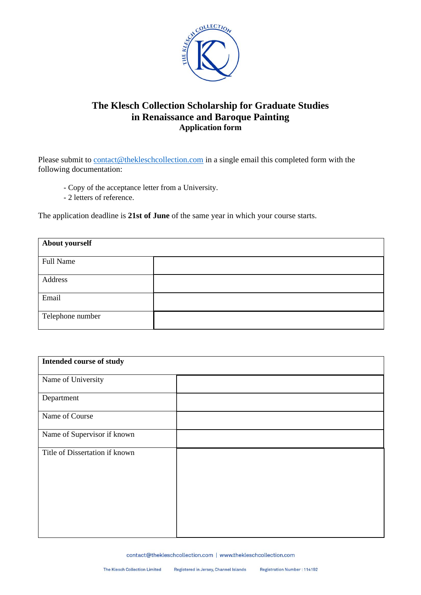

## The Klesch Collection Scholarship for Graduate Studies in Renaissance and Baroque Painting **Application form**

Please submit to contact@thekleschcollection.com in a single email this completed form with the following documentation:

- Copy of the acceptance letter from a University.
- 2 letters of reference.

The application deadline is 21st of June of the same year in which your course starts.

| <b>About yourself</b> |  |  |
|-----------------------|--|--|
| <b>Full Name</b>      |  |  |
| Address               |  |  |
|                       |  |  |
| Email                 |  |  |
| Telephone number      |  |  |

| Intended course of study       |  |  |
|--------------------------------|--|--|
| Name of University             |  |  |
| Department                     |  |  |
| Name of Course                 |  |  |
| Name of Supervisor if known    |  |  |
| Title of Dissertation if known |  |  |
|                                |  |  |
|                                |  |  |
|                                |  |  |
|                                |  |  |

contact@thekleschcollection.com | www.thekleschcollection.com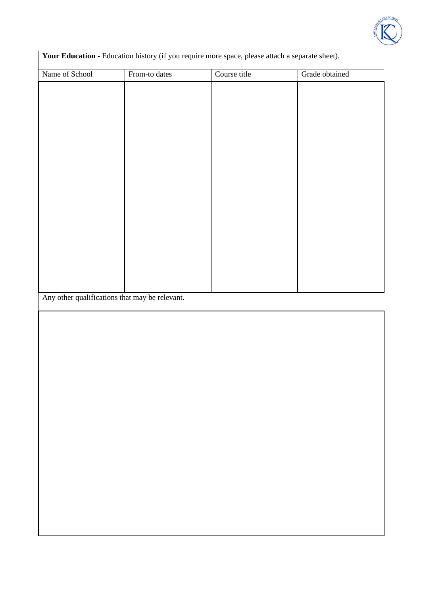

| Your Education - Education history (if you require more space, please attach a separate sheet). |               |              |                |  |
|-------------------------------------------------------------------------------------------------|---------------|--------------|----------------|--|
| Name of School                                                                                  | From-to dates | Course title | Grade obtained |  |
|                                                                                                 |               |              |                |  |
|                                                                                                 |               |              |                |  |
|                                                                                                 |               |              |                |  |
|                                                                                                 |               |              |                |  |
|                                                                                                 |               |              |                |  |
|                                                                                                 |               |              |                |  |
|                                                                                                 |               |              |                |  |
|                                                                                                 |               |              |                |  |
|                                                                                                 |               |              |                |  |
|                                                                                                 |               |              |                |  |
|                                                                                                 |               |              |                |  |
|                                                                                                 |               |              |                |  |
|                                                                                                 |               |              |                |  |
|                                                                                                 |               |              |                |  |
|                                                                                                 |               |              |                |  |
|                                                                                                 |               |              |                |  |
|                                                                                                 |               |              |                |  |
|                                                                                                 |               |              |                |  |
| Any other qualifications that may be relevant.                                                  |               |              |                |  |
|                                                                                                 |               |              |                |  |
|                                                                                                 |               |              |                |  |
|                                                                                                 |               |              |                |  |
|                                                                                                 |               |              |                |  |
|                                                                                                 |               |              |                |  |
|                                                                                                 |               |              |                |  |
|                                                                                                 |               |              |                |  |
|                                                                                                 |               |              |                |  |
|                                                                                                 |               |              |                |  |
|                                                                                                 |               |              |                |  |
|                                                                                                 |               |              |                |  |
|                                                                                                 |               |              |                |  |
|                                                                                                 |               |              |                |  |
|                                                                                                 |               |              |                |  |
|                                                                                                 |               |              |                |  |
|                                                                                                 |               |              |                |  |
|                                                                                                 |               |              |                |  |
|                                                                                                 |               |              |                |  |
|                                                                                                 |               |              |                |  |
|                                                                                                 |               |              |                |  |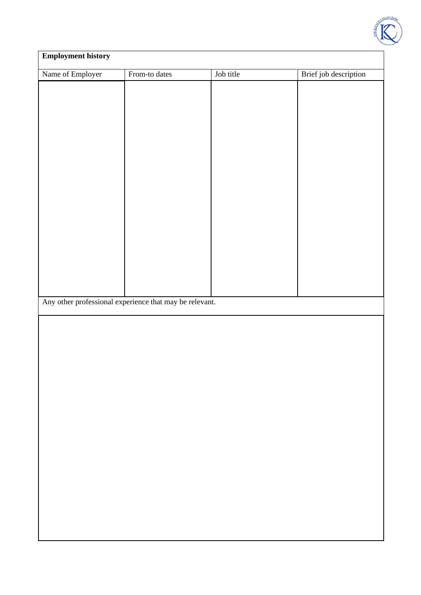

| <b>Employment history</b> |                                                         |           |                       |  |
|---------------------------|---------------------------------------------------------|-----------|-----------------------|--|
| Name of Employer          | From-to dates                                           | Job title | Brief job description |  |
|                           |                                                         |           |                       |  |
|                           |                                                         |           |                       |  |
|                           |                                                         |           |                       |  |
|                           |                                                         |           |                       |  |
|                           |                                                         |           |                       |  |
|                           |                                                         |           |                       |  |
|                           |                                                         |           |                       |  |
|                           |                                                         |           |                       |  |
|                           |                                                         |           |                       |  |
|                           |                                                         |           |                       |  |
|                           |                                                         |           |                       |  |
|                           |                                                         |           |                       |  |
|                           |                                                         |           |                       |  |
|                           |                                                         |           |                       |  |
|                           |                                                         |           |                       |  |
|                           |                                                         |           |                       |  |
|                           | Any other professional experience that may be relevant. |           |                       |  |
|                           |                                                         |           |                       |  |
|                           |                                                         |           |                       |  |
|                           |                                                         |           |                       |  |
|                           |                                                         |           |                       |  |
|                           |                                                         |           |                       |  |
|                           |                                                         |           |                       |  |
|                           |                                                         |           |                       |  |
|                           |                                                         |           |                       |  |
|                           |                                                         |           |                       |  |
|                           |                                                         |           |                       |  |
|                           |                                                         |           |                       |  |
|                           |                                                         |           |                       |  |
|                           |                                                         |           |                       |  |
|                           |                                                         |           |                       |  |
|                           |                                                         |           |                       |  |
|                           |                                                         |           |                       |  |
|                           |                                                         |           |                       |  |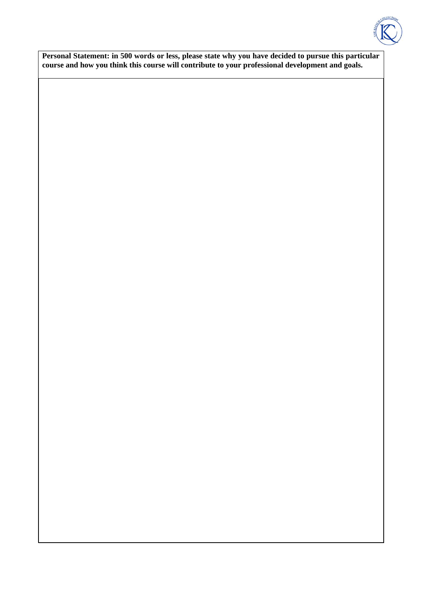

Personal Statement: in 500 words or less, please state why you have decided to pursue this particular course and how you think this course will contribute to your professional development and goals.